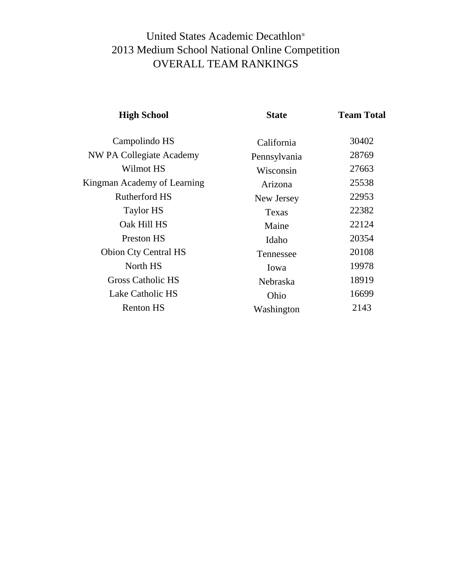# United States Academic Decathlon® 2013 Medium School National Online Competition OVERALL TEAM RANKINGS

| <b>High School</b>          | <b>State</b> | <b>Team Total</b> |
|-----------------------------|--------------|-------------------|
| Campolindo HS               | California   | 30402             |
| NW PA Collegiate Academy    | Pennsylvania | 28769             |
| Wilmot HS                   | Wisconsin    | 27663             |
| Kingman Academy of Learning | Arizona      | 25538             |
| Rutherford HS               | New Jersey   | 22953             |
| Taylor HS                   | Texas        | 22382             |
| Oak Hill HS                 | Maine        | 22124             |
| <b>Preston HS</b>           | Idaho        | 20354             |
| <b>Obion Cty Central HS</b> | Tennessee    | 20108             |
| North HS                    | Iowa         | 19978             |
| <b>Gross Catholic HS</b>    | Nebraska     | 18919             |
| Lake Catholic HS            | Ohio         | 16699             |
| <b>Renton HS</b>            | Washington   | 2143              |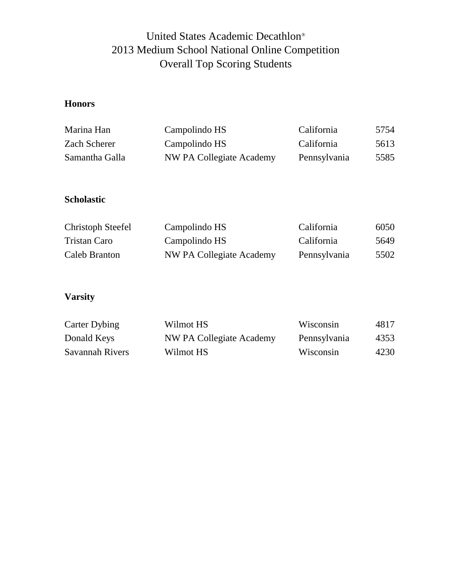## United States Academic Decathlon® 2013 Medium School National Online Competition Overall Top Scoring Students

## **Honors**

| Marina Han     | Campolindo HS            | California   | 5754 |
|----------------|--------------------------|--------------|------|
| Zach Scherer   | Campolindo HS            | California   | 5613 |
| Samantha Galla | NW PA Collegiate Academy | Pennsylvania | 5585 |

#### **Scholastic**

| Christoph Steefel | Campolindo HS            | California   | 6050 |
|-------------------|--------------------------|--------------|------|
| Tristan Caro      | Campolindo HS            | California   | 5649 |
| Caleb Branton     | NW PA Collegiate Academy | Pennsylvania | 5502 |

### **Varsity**

| Carter Dybing   | Wilmot HS                | Wisconsin    | 4817 |
|-----------------|--------------------------|--------------|------|
| Donald Keys     | NW PA Collegiate Academy | Pennsylvania | 4353 |
| Savannah Rivers | Wilmot HS                | Wisconsin    | 4230 |